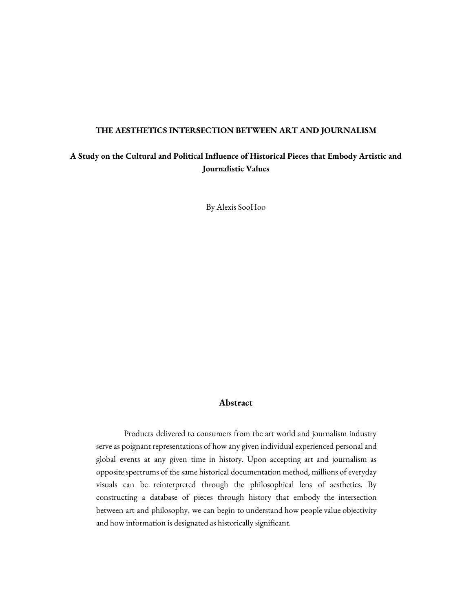#### **THE AESTHETICS INTERSECTION BETWEEN ART AND JOURNALISM**

# **A Study on the Cultural and Political Influence of Historical Pieces that Embody Artistic and Journalistic Values**

By Alexis SooHoo

### **Abstract**

Products delivered to consumers from the art world and journalism industry serve as poignant representations of how any given individual experienced personal and global events at any given time in history. Upon accepting art and journalism as opposite spectrums of the same historical documentation method, millions of everyday visuals can be reinterpreted through the philosophical lens of aesthetics. By constructing a database of pieces through history that embody the intersection between art and philosophy, we can begin to understand how people value objectivity and how information is designated as historically significant.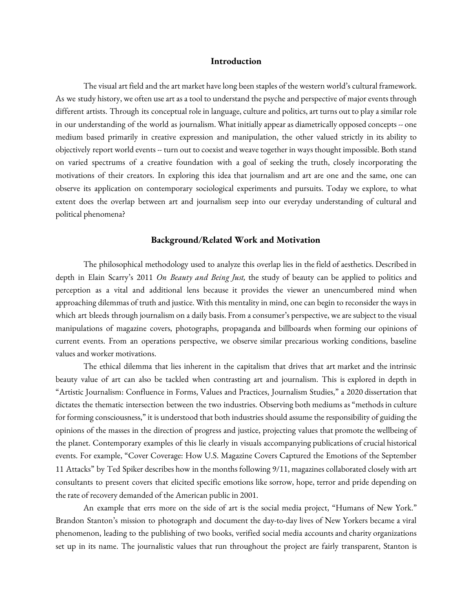## **Introduction**

The visual art field and the art market have long been staples of the western world's cultural framework. As we study history, we often use art as a tool to understand the psyche and perspective of major events through different artists. Through its conceptual role in language, culture and politics, art turns out to play a similar role in our understanding of the world as journalism. What initially appear as diametrically opposed concepts -- one medium based primarily in creative expression and manipulation, the other valued strictly in its ability to objectively report world events -- turn out to coexistand weave together in ways thought impossible. Both stand on varied spectrums of a creative foundation with a goal of seeking the truth, closely incorporating the motivations of their creators. In exploring this idea that journalism and art are one and the same, one can observe its application on contemporary sociological experiments and pursuits. Today we explore, to what extent does the overlap between art and journalism seep into our everyday understanding of cultural and political phenomena?

#### **Background/Related Work and Motivation**

The philosophical methodology used to analyze this overlap lies in the field of aesthetics. Described in depth in Elain Scarry's 2011 *On Beauty and Being Just,* the study of beauty can be applied to politics and perception as a vital and additional lens because it provides the viewer an unencumbered mind when approaching dilemmas of truth and justice. With this mentality in mind, one can begin to reconsider the ways in which art bleeds through journalism on a daily basis. From a consumer's perspective, we are subject to the visual manipulations of magazine covers, photographs, propaganda and billboards when forming our opinions of current events. From an operations perspective, we observe similar precarious working conditions, baseline values and worker motivations.

The ethical dilemma that lies inherent in the capitalism that drives that art market and the intrinsic beauty value of art can also be tackled when contrasting art and journalism. This is explored in depth in "Artistic Journalism: Confluence in Forms, Values and Practices, Journalism Studies," a 2020 dissertation that dictates the thematic intersection between the two industries. Observing both mediumsas "methods in culture for forming consciousness," it is understood that both industries should assume the responsibility of guiding the opinions of the masses in the direction of progress and justice, projecting values that promote the wellbeing of the planet. Contemporary examples of this lie clearly in visuals accompanying publications of crucial historical events. For example, "Cover Coverage: How U.S. Magazine Covers Captured the Emotions of the September 11 Attacks" by Ted Spiker describes how in the months following 9/11, magazines collaborated closely with art consultants to present covers that elicited specific emotions like sorrow, hope, terror and pride depending on the rate of recovery demanded of the American public in 2001.

An example that errs more on the side of art is the social media project, "Humans of New York." Brandon Stanton's mission to photograph and document the day-to-day lives of New Yorkers became a viral phenomenon, leading to the publishing of two books, verified social media accounts and charity organizations set up in its name. The journalistic values that run throughout the project are fairly transparent, Stanton is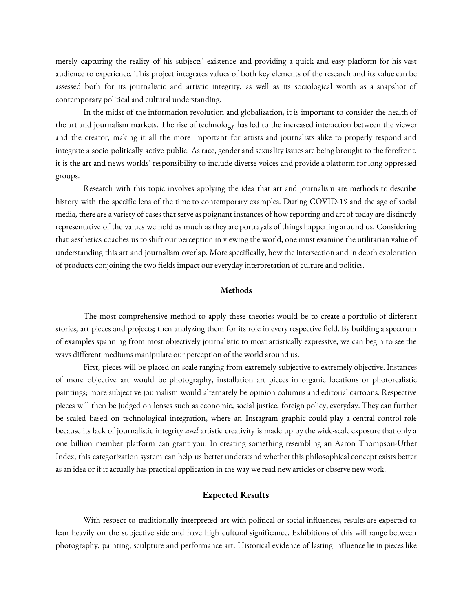merely capturing the reality of his subjects' existence and providing a quick and easy platform for his vast audience to experience. This project integrates values of both key elements of the research and its value can be assessed both for its journalistic and artistic integrity, as well as its sociological worth as a snapshot of contemporary political and cultural understanding.

In the midst of the information revolution and globalization, it is important to consider the health of the art and journalism markets. The rise of technology has led to the increased interaction between the viewer and the creator, making it all the more important for artists and journalists alike to properly respond and integrate a socio politically active public. As race, gender and sexuality issues are being brought to the forefront, it is the art and news worlds' responsibility to include diverse voices and providea platform for long oppressed groups.

Research with this topic involves applying the idea that art and journalism are methods to describe history with the specific lens of the time to contemporary examples. During COVID-19 and the age of social media, there are a variety of cases that serve as poignant instances of how reporting and art of today are distinctly representative of the values we hold as much as they are portrayals of things happening around us. Considering that aesthetics coaches us to shift our perception in viewing the world, one must examine the utilitarian value of understanding this art and journalism overlap. More specifically, how the intersection and in depth exploration of products conjoining the two fields impact our everyday interpretation of culture and politics.

#### **Methods**

The most comprehensive method to apply these theories would be to create a portfolio of different stories, art pieces and projects; then analyzing them for its role in every respective field. By building aspectrum of examples spanning from most objectively journalistic to most artistically expressive, we can begin to see the ways different mediums manipulate our perception of the world around us.

First, pieces will be placed on scale ranging from extremely subjective to extremely objective. Instances of more objective art would be photography, installation art pieces in organic locations or photorealistic paintings; more subjective journalism would alternately be opinion columnsand editorial cartoons. Respective pieces will then be judged on lenses such as economic, social justice, foreign policy, everyday. They can further be scaled based on technological integration, where an Instagram graphic could play a central control role because its lack of journalistic integrity *and* artistic creativity is made up by the wide-scale exposure that only a one billion member platform can grant you. In creating something resembling an Aaron Thompson-Uther Index, this categorization system can help us better understand whether this philosophical concept exists better as an idea or if it actually has practical application in the way we read new articles or observe new work.

# **Expected Results**

With respect to traditionally interpreted art with political or social influences, results are expected to lean heavily on the subjective side and have high cultural significance. Exhibitions of this will range between photography, painting, sculpture and performance art. Historical evidence of lasting influence lie in pieces like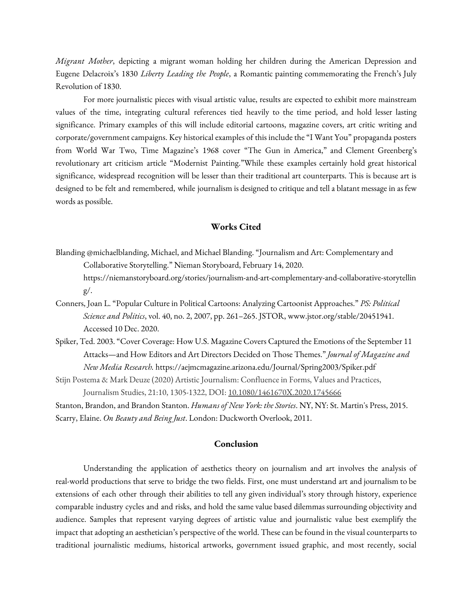*Migrant Mother*, depicting a migrant woman holding her children during the American Depression and Eugene Delacroix's 1830 *Liberty Leading the People*, a Romantic painting commemorating the French's July Revolution of 1830.

For more journalistic pieces with visual artistic value, results are expected to exhibit more mainstream values of the time, integrating cultural references tied heavily to the time period, and hold lesser lasting significance. Primary examples of this will include editorial cartoons, magazine covers, art critic writing and corporate/government campaigns. Key historical examples of this include the "I Want You" propaganda posters from World War Two, Time Magazine's 1968 cover "The Gun in America," and Clement Greenberg's revolutionary art criticism article "Modernist Painting."While these examples certainly hold great historical significance, widespread recognition will be lesser than their traditional art counterparts. This is because art is designed to be felt and remembered, while journalism is designed to critique and tell a blatant message in as few words as possible.

# **Works Cited**

- Blanding @michaelblanding, Michael, and Michael Blanding. "Journalism and Art: Complementary and Collaborative Storytelling." Nieman Storyboard, February 14, 2020. https://niemanstoryboard.org/stories/journalism-and-art-complementary-and-collaborative-storytellin g/.
- Conners, Joan L. "Popular Culture in Political Cartoons: Analyzing Cartoonist Approaches." *PS: Political Science and Politics*, vol. 40, no. 2, 2007, pp. 261–265. JSTOR, www.jstor.org/stable/20451941. Accessed 10 Dec. 2020.
- Spiker, Ted. 2003. "Cover Coverage: How U.S. Magazine Covers Captured the Emotions of the September 11 Attacks—and How Editors and Art Directors Decided on Those Themes." *Journal of Magazine and New Media Research.* https://aejmcmagazine.arizona.edu/Journal/Spring2003/Spiker.pdf
- Stijn Postema & Mark Deuze (2020) Artistic Journalism: Confluence in Forms, Values and Practices, Journalism Studies, 21:10, 1305-1322, DOI: [10.1080/1461670X.2020.1745666](https://doi.org/10.1080/1461670X.2020.1745666)

Stanton, Brandon, and Brandon Stanton. *Humans of New York: the Stories*. NY, NY: St. Martin's Press, 2015. Scarry, Elaine. *On Beauty and Being Just*. London: Duckworth Overlook, 2011.

## **Conclusion**

Understanding the application of aesthetics theory on journalism and art involves the analysis of real-world productions that serve to bridge the two fields. First, one must understand art and journalism to be extensions of each other through their abilities to tell any given individual's story through history, experience comparable industry cycles and and risks, and hold the same value based dilemmas surrounding objectivity and audience. Samples that represent varying degrees of artistic value and journalistic value best exemplify the impact that adopting an aesthetician's perspective of the world. These can be found in the visual counterparts to traditional journalistic mediums, historical artworks, government issued graphic, and most recently, social